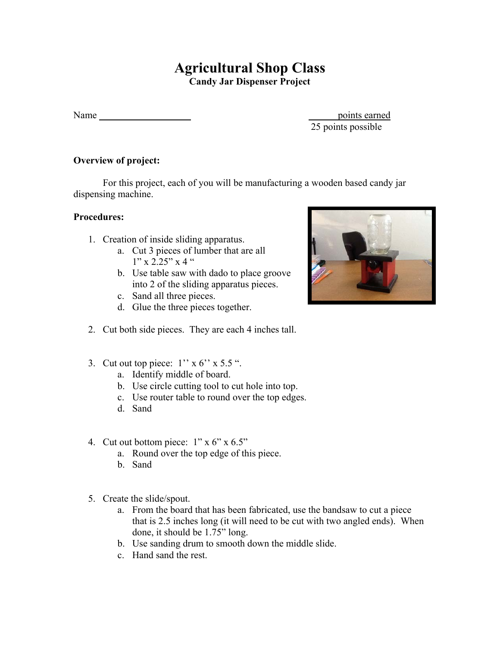## **Agricultural Shop Class**

**Candy Jar Dispenser Project** 

Name points earned

25 points possible

## **Overview of project:**

 For this project, each of you will be manufacturing a wooden based candy jar dispensing machine.

## **Procedures:**

- 1. Creation of inside sliding apparatus.
	- a. Cut 3 pieces of lumber that are all  $1"$  x 2.25" x 4 "
	- b. Use table saw with dado to place groove into 2 of the sliding apparatus pieces.
	- c. Sand all three pieces.
	- d. Glue the three pieces together.
- 2. Cut both side pieces. They are each 4 inches tall.
- 3. Cut out top piece:  $1'' \times 6'' \times 5.5$  ".
	- a. Identify middle of board.
	- b. Use circle cutting tool to cut hole into top.
	- c. Use router table to round over the top edges.
	- d. Sand
- 4. Cut out bottom piece: 1" x 6" x 6.5"
	- a. Round over the top edge of this piece.
	- b. Sand
- 5. Create the slide/spout.
	- a. From the board that has been fabricated, use the bandsaw to cut a piece that is 2.5 inches long (it will need to be cut with two angled ends). When done, it should be 1.75" long.
	- b. Use sanding drum to smooth down the middle slide.
	- c. Hand sand the rest.